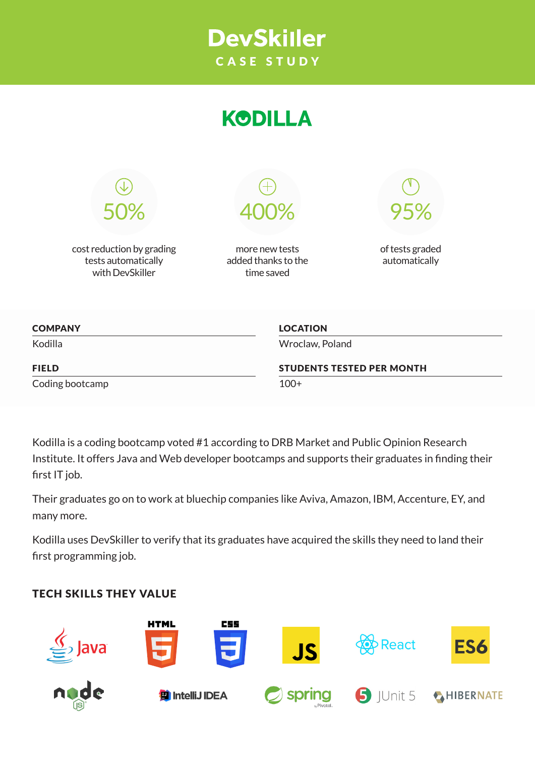





cost reduction by grading tests automatically with DevSkiller

more new tests added thanks to the time saved



of tests graded automatically

| <b>COMPANY</b>  | <b>LOCATION</b>                  |
|-----------------|----------------------------------|
| Kodilla         | Wroclaw, Poland                  |
| <b>FIELD</b>    | <b>STUDENTS TESTED PER MONTH</b> |
| Coding bootcamp | $100+$                           |

Kodilla is a coding bootcamp voted #1 according to DRB Market and Public Opinion Research Institute. It offers Java and Web developer bootcamps and supports their graduates in finding their first IT job.

Their graduates go on to work at bluechip companies like Aviva, Amazon, IBM, Accenture, EY, and many more.

Kodilla uses DevSkiller to verify that its graduates have acquired the skills they need to land their first programming job.

# TECH SKILLS THEY VALUE

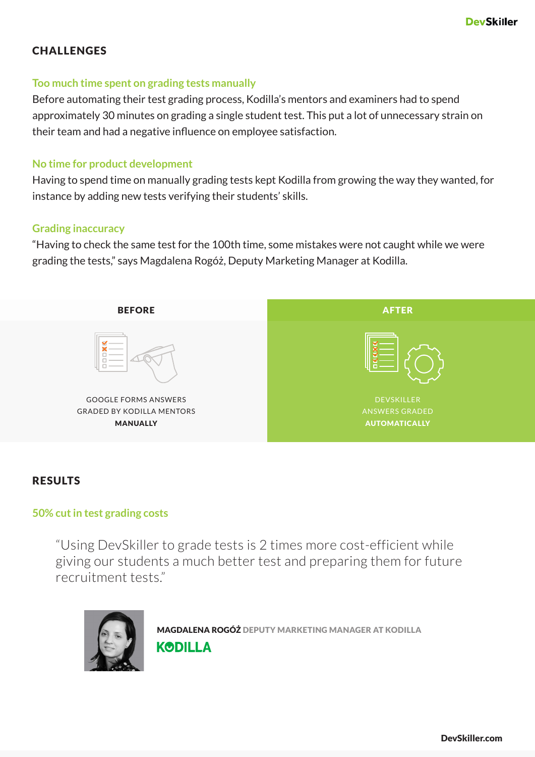# **CHALLENGES**

### **Too much time spent on grading tests manually**

Before automating their test grading process, Kodilla's mentors and examiners had to spend approximately 30 minutes on grading a single student test. This put a lot of unnecessary strain on their team and had a negative influence on employee satisfaction.

## **No time for product development**

Having to spend time on manually grading tests kept Kodilla from growing the way they wanted, for instance by adding new tests verifying their students' skills.

### **Grading inaccuracy**

"Having to check the same test for the 100th time, some mistakes were not caught while we were grading the tests," says Magdalena Rogóż, Deputy Marketing Manager at Kodilla.



# RESULTS

# **50% cut in test grading costs**

"Using DevSkiller to grade tests is 2 times more cost-efficient while giving our students a much better test and preparing them for future recruitment tests."



MAGDALENA ROGÓŻ DEPUTY MARKETING MANAGER AT KODILLA **KODILLA**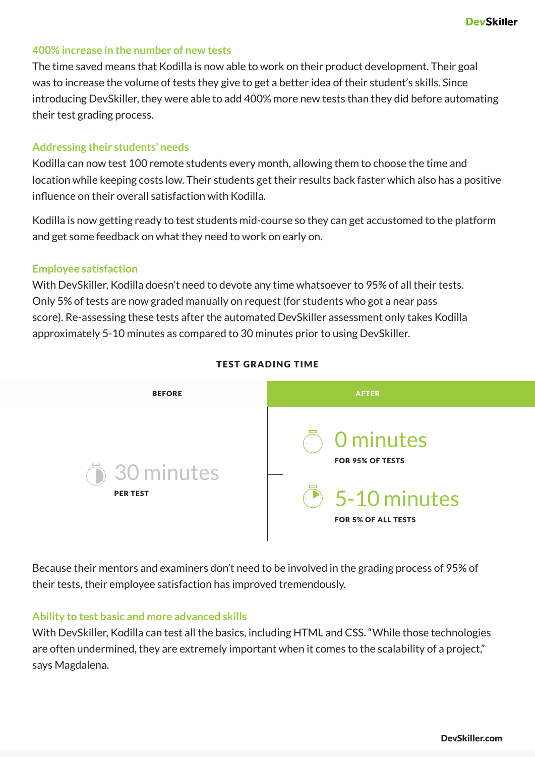### **400% increase in the number of new tests**

The time saved means that Kodilla is now able to work on their product development. Their goal was to increase the volume of tests they give to get a better idea of their student's skills. Since introducing DevSkiller, they were able to add 400% more new tests than they did before automating their test grading process.

#### **Addressing their students' needs**

Kodilla can now test 100 remote students every month, allowing them to choose the time and location while keeping costs low. Their students get their results back faster which also has a positive influence on their overall satisfaction with Kodilla.

Kodilla is now getting ready to test students mid-course so they can get accustomed to the platform and get some feedback on what they need to work on early on.

#### **Employee satisfaction**

With DevSkiller, Kodilla doesn't need to devote any time whatsoever to 95% of all their tests. Only 5% of tests are now graded manually on request (for students who got a near pass score). Re-assessing these tests after the automated DevSkiller assessment only takes Kodilla approximately 5-10 minutes as compared to 30 minutes prior to using DevSkiller.



#### TEST GRADING TIME

Because their mentors and examiners don't need to be involved in the grading process of 95% of their tests, their employee satisfaction has improved tremendously.

#### **Ability to test basic and more advanced skills**

With DevSkiller, Kodilla can test all the basics, including HTML and CSS. "While those technologies are often undermined, they are extremely important when it comes to the scalability of a project," says Magdalena.